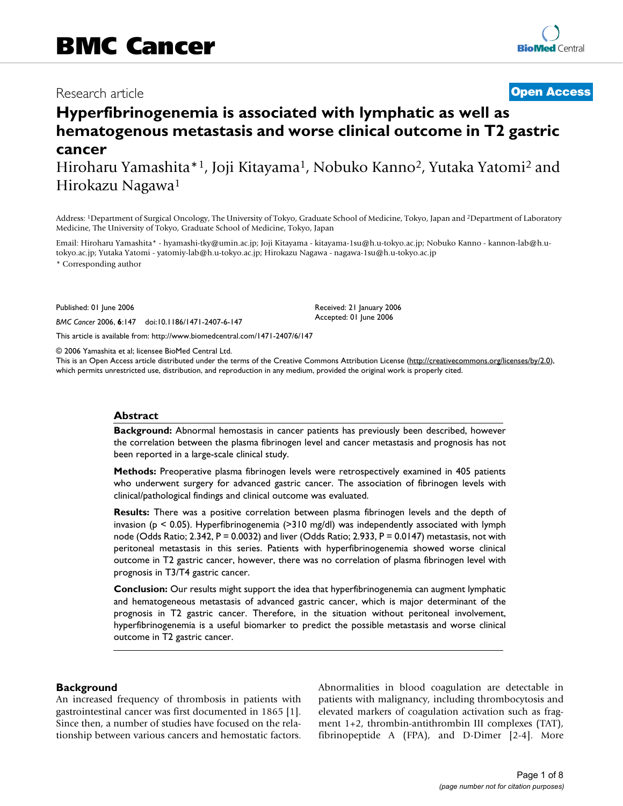# Research article **[Open Access](http://www.biomedcentral.com/info/about/charter/)**

# **Hyperfibrinogenemia is associated with lymphatic as well as hematogenous metastasis and worse clinical outcome in T2 gastric cancer**

Hiroharu Yamashita\*<sup>1</sup>, Joji Kitayama<sup>1</sup>, Nobuko Kanno<sup>2</sup>, Yutaka Yatomi<sup>2</sup> and Hirokazu Nagawa1

Address: 1Department of Surgical Oncology, The University of Tokyo, Graduate School of Medicine, Tokyo, Japan and 2Department of Laboratory Medicine, The University of Tokyo, Graduate School of Medicine, Tokyo, Japan

Email: Hiroharu Yamashita\* - hyamashi-tky@umin.ac.jp; Joji Kitayama - kitayama-1su@h.u-tokyo.ac.jp; Nobuko Kanno - kannon-lab@h.utokyo.ac.jp; Yutaka Yatomi - yatomiy-lab@h.u-tokyo.ac.jp; Hirokazu Nagawa - nagawa-1su@h.u-tokyo.ac.jp

\* Corresponding author

Published: 01 June 2006

*BMC Cancer* 2006, **6**:147 doi:10.1186/1471-2407-6-147

[This article is available from: http://www.biomedcentral.com/1471-2407/6/147](http://www.biomedcentral.com/1471-2407/6/147)

© 2006 Yamashita et al; licensee BioMed Central Ltd.

This is an Open Access article distributed under the terms of the Creative Commons Attribution License [\(http://creativecommons.org/licenses/by/2.0\)](http://creativecommons.org/licenses/by/2.0), which permits unrestricted use, distribution, and reproduction in any medium, provided the original work is properly cited.

Received: 21 January 2006 Accepted: 01 June 2006

#### **Abstract**

**Background:** Abnormal hemostasis in cancer patients has previously been described, however the correlation between the plasma fibrinogen level and cancer metastasis and prognosis has not been reported in a large-scale clinical study.

**Methods:** Preoperative plasma fibrinogen levels were retrospectively examined in 405 patients who underwent surgery for advanced gastric cancer. The association of fibrinogen levels with clinical/pathological findings and clinical outcome was evaluated.

**Results:** There was a positive correlation between plasma fibrinogen levels and the depth of invasion ( $p < 0.05$ ). Hyperfibrinogenemia (>310 mg/dl) was independently associated with lymph node (Odds Ratio; 2.342, P = 0.0032) and liver (Odds Ratio; 2.933, P = 0.0147) metastasis, not with peritoneal metastasis in this series. Patients with hyperfibrinogenemia showed worse clinical outcome in T2 gastric cancer, however, there was no correlation of plasma fibrinogen level with prognosis in T3/T4 gastric cancer.

**Conclusion:** Our results might support the idea that hyperfibrinogenemia can augment lymphatic and hematogeneous metastasis of advanced gastric cancer, which is major determinant of the prognosis in T2 gastric cancer. Therefore, in the situation without peritoneal involvement, hyperfibrinogenemia is a useful biomarker to predict the possible metastasis and worse clinical outcome in T2 gastric cancer.

#### **Background**

An increased frequency of thrombosis in patients with gastrointestinal cancer was first documented in 1865 [1]. Since then, a number of studies have focused on the relationship between various cancers and hemostatic factors. Abnormalities in blood coagulation are detectable in patients with malignancy, including thrombocytosis and elevated markers of coagulation activation such as fragment 1+2, thrombin-antithrombin III complexes (TAT), fibrinopeptide A (FPA), and D-Dimer [2-4]. More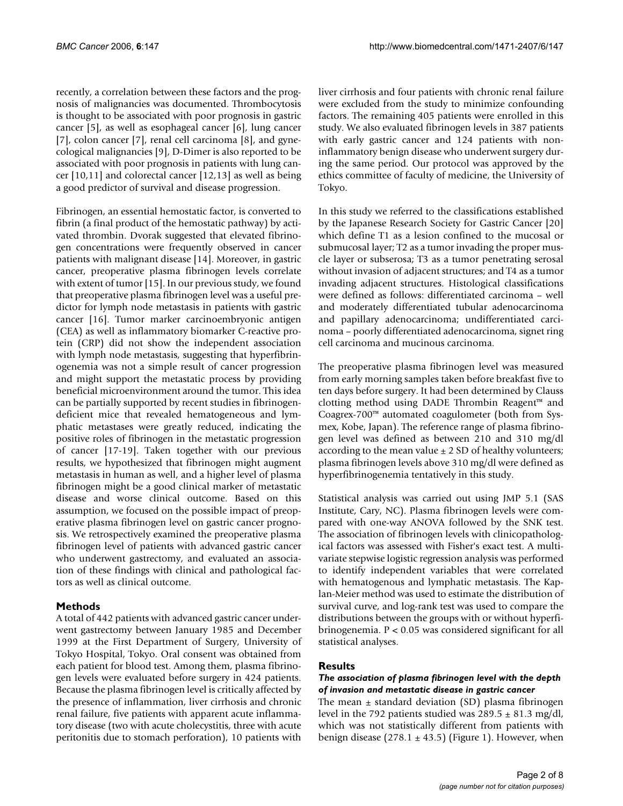recently, a correlation between these factors and the prognosis of malignancies was documented. Thrombocytosis is thought to be associated with poor prognosis in gastric cancer [5], as well as esophageal cancer [6], lung cancer [7], colon cancer [7], renal cell carcinoma [8], and gynecological malignancies [9], D-Dimer is also reported to be associated with poor prognosis in patients with lung cancer [10,11] and colorectal cancer [12,13] as well as being a good predictor of survival and disease progression.

Fibrinogen, an essential hemostatic factor, is converted to fibrin (a final product of the hemostatic pathway) by activated thrombin. Dvorak suggested that elevated fibrinogen concentrations were frequently observed in cancer patients with malignant disease [14]. Moreover, in gastric cancer, preoperative plasma fibrinogen levels correlate with extent of tumor [15]. In our previous study, we found that preoperative plasma fibrinogen level was a useful predictor for lymph node metastasis in patients with gastric cancer [16]. Tumor marker carcinoembryonic antigen (CEA) as well as inflammatory biomarker C-reactive protein (CRP) did not show the independent association with lymph node metastasis, suggesting that hyperfibrinogenemia was not a simple result of cancer progression and might support the metastatic process by providing beneficial microenvironment around the tumor. This idea can be partially supported by recent studies in fibrinogendeficient mice that revealed hematogeneous and lymphatic metastases were greatly reduced, indicating the positive roles of fibrinogen in the metastatic progression of cancer [17-19]. Taken together with our previous results, we hypothesized that fibrinogen might augment metastasis in human as well, and a higher level of plasma fibrinogen might be a good clinical marker of metastatic disease and worse clinical outcome. Based on this assumption, we focused on the possible impact of preoperative plasma fibrinogen level on gastric cancer prognosis. We retrospectively examined the preoperative plasma fibrinogen level of patients with advanced gastric cancer who underwent gastrectomy, and evaluated an association of these findings with clinical and pathological factors as well as clinical outcome.

# **Methods**

A total of 442 patients with advanced gastric cancer underwent gastrectomy between January 1985 and December 1999 at the First Department of Surgery, University of Tokyo Hospital, Tokyo. Oral consent was obtained from each patient for blood test. Among them, plasma fibrinogen levels were evaluated before surgery in 424 patients. Because the plasma fibrinogen level is critically affected by the presence of inflammation, liver cirrhosis and chronic renal failure, five patients with apparent acute inflammatory disease (two with acute cholecystitis, three with acute peritonitis due to stomach perforation), 10 patients with

liver cirrhosis and four patients with chronic renal failure were excluded from the study to minimize confounding factors. The remaining 405 patients were enrolled in this study. We also evaluated fibrinogen levels in 387 patients with early gastric cancer and 124 patients with noninflammatory benign disease who underwent surgery during the same period. Our protocol was approved by the ethics committee of faculty of medicine, the University of Tokyo.

In this study we referred to the classifications established by the Japanese Research Society for Gastric Cancer [20] which define T1 as a lesion confined to the mucosal or submucosal layer; T2 as a tumor invading the proper muscle layer or subserosa; T3 as a tumor penetrating serosal without invasion of adjacent structures; and T4 as a tumor invading adjacent structures. Histological classifications were defined as follows: differentiated carcinoma – well and moderately differentiated tubular adenocarcinoma and papillary adenocarcinoma; undifferentiated carcinoma – poorly differentiated adenocarcinoma, signet ring cell carcinoma and mucinous carcinoma.

The preoperative plasma fibrinogen level was measured from early morning samples taken before breakfast five to ten days before surgery. It had been determined by Clauss clotting method using DADE Thrombin Reagent™ and Coagrex-700™ automated coagulometer (both from Sysmex, Kobe, Japan). The reference range of plasma fibrinogen level was defined as between 210 and 310 mg/dl according to the mean value  $\pm$  2 SD of healthy volunteers; plasma fibrinogen levels above 310 mg/dl were defined as hyperfibrinogenemia tentatively in this study.

Statistical analysis was carried out using JMP 5.1 (SAS Institute, Cary, NC). Plasma fibrinogen levels were compared with one-way ANOVA followed by the SNK test. The association of fibrinogen levels with clinicopathological factors was assessed with Fisher's exact test. A multivariate stepwise logistic regression analysis was performed to identify independent variables that were correlated with hematogenous and lymphatic metastasis. The Kaplan-Meier method was used to estimate the distribution of survival curve, and log-rank test was used to compare the distributions between the groups with or without hyperfibrinogenemia. P < 0.05 was considered significant for all statistical analyses.

### **Results**

# *The association of plasma fibrinogen level with the depth of invasion and metastatic disease in gastric cancer*

The mean  $\pm$  standard deviation (SD) plasma fibrinogen level in the 792 patients studied was  $289.5 \pm 81.3$  mg/dl, which was not statistically different from patients with benign disease  $(278.1 \pm 43.5)$  (Figure 1). However, when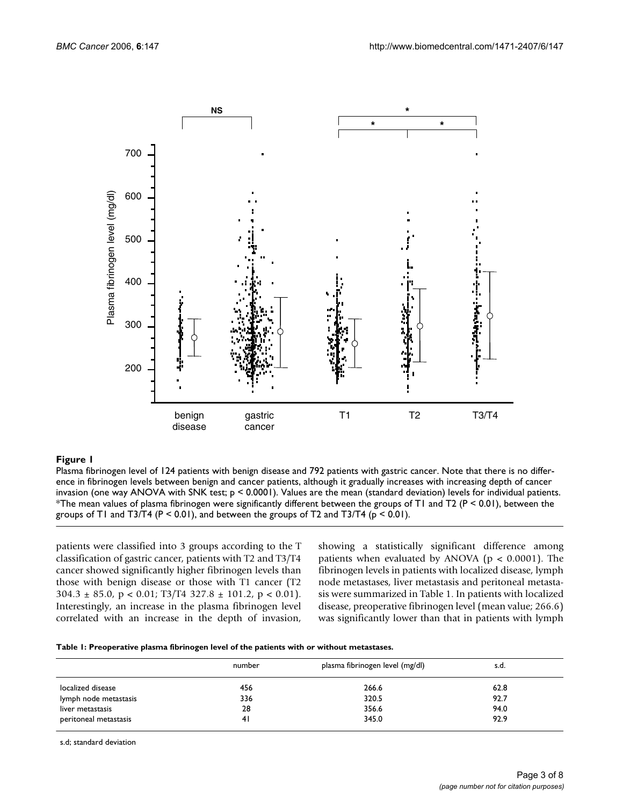

#### **Figure 1** Plasma fibrinogen level of 124 patients with benign disease and 792 patients with gastric cancer

Plasma fibrinogen level of 124 patients with benign disease and 792 patients with gastric cancer. Note that there is no difference in fibrinogen levels between benign and cancer patients, although it gradually increases with increasing depth of cancer invasion (one way ANOVA with SNK test; p < 0.0001). Values are the mean (standard deviation) levels for individual patients. \*The mean values of plasma fibrinogen were significantly different between the groups of T1 and T2 (P < 0.01), between the groups of T1 and T3/T4 ( $P < 0.01$ ), and between the groups of T2 and T3/T4 ( $p < 0.01$ ).

patients were classified into 3 groups according to the T classification of gastric cancer, patients with T2 and T3/T4 cancer showed significantly higher fibrinogen levels than those with benign disease or those with T1 cancer (T2  $304.3 \pm 85.0$ , p < 0.01; T3/T4 327.8  $\pm$  101.2, p < 0.01). Interestingly, an increase in the plasma fibrinogen level correlated with an increase in the depth of invasion, showing a statistically significant difference among patients when evaluated by ANOVA ( $p < 0.0001$ ). The fibrinogen levels in patients with localized disease, lymph node metastases, liver metastasis and peritoneal metastasis were summarized in Table 1. In patients with localized disease, preoperative fibrinogen level (mean value; 266.6) was significantly lower than that in patients with lymph

| Table 1: Preoperative plasma fibrinogen level of the patients with or without metastases. |  |  |  |
|-------------------------------------------------------------------------------------------|--|--|--|
|-------------------------------------------------------------------------------------------|--|--|--|

|                       | number | plasma fibrinogen level (mg/dl) | s.d. |
|-----------------------|--------|---------------------------------|------|
| localized disease     | 456    | 266.6                           | 62.8 |
| lymph node metastasis | 336    | 320.5                           | 92.7 |
| liver metastasis      | 28     | 356.6                           | 94.0 |
| peritoneal metastasis | 41     | 345.0                           | 92.9 |

s.d; standard deviation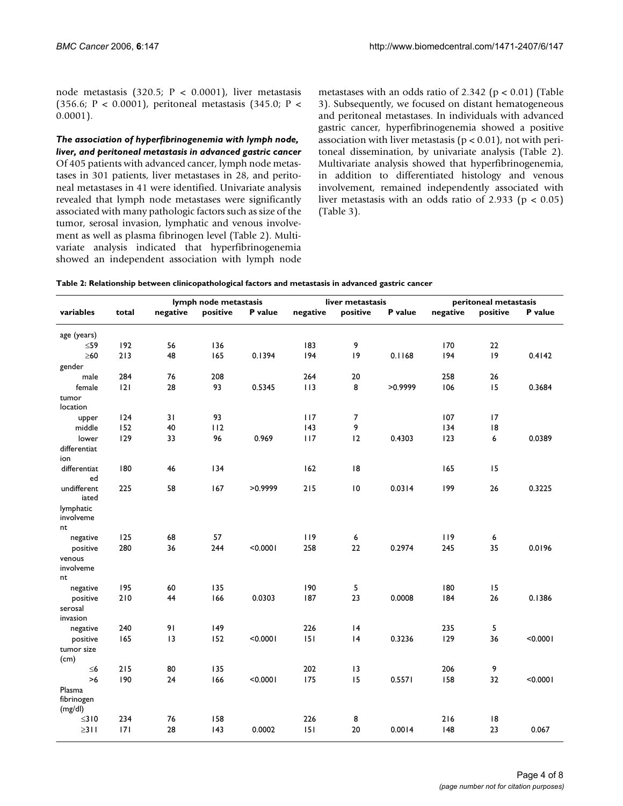node metastasis (320.5; P < 0.0001), liver metastasis (356.6; P < 0.0001), peritoneal metastasis (345.0; P < 0.0001).

*The association of hyperfibrinogenemia with lymph node, liver, and peritoneal metastasis in advanced gastric cancer* Of 405 patients with advanced cancer, lymph node metastases in 301 patients, liver metastases in 28, and peritoneal metastases in 41 were identified. Univariate analysis revealed that lymph node metastases were significantly associated with many pathologic factors such as size of the tumor, serosal invasion, lymphatic and venous involvement as well as plasma fibrinogen level (Table 2). Multivariate analysis indicated that hyperfibrinogenemia showed an independent association with lymph node metastases with an odds ratio of 2.342 ( $p < 0.01$ ) (Table 3). Subsequently, we focused on distant hematogeneous and peritoneal metastases. In individuals with advanced gastric cancer, hyperfibrinogenemia showed a positive association with liver metastasis ( $p < 0.01$ ), not with peritoneal dissemination, by univariate analysis (Table 2). Multivariate analysis showed that hyperfibrinogenemia, in addition to differentiated histology and venous involvement, remained independently associated with liver metastasis with an odds ratio of 2.933 ( $p < 0.05$ ) (Table 3).

| Table 2: Relationship between clinicopathological factors and metastasis in advanced gastric cancer |  |  |  |
|-----------------------------------------------------------------------------------------------------|--|--|--|
|-----------------------------------------------------------------------------------------------------|--|--|--|

|                          |       | lymph node metastasis<br>liver metastasis |          | peritoneal metastasis |          |          |         |          |          |          |
|--------------------------|-------|-------------------------------------------|----------|-----------------------|----------|----------|---------|----------|----------|----------|
| variables                | total | negative                                  | positive | P value               | negative | positive | P value | negative | positive | P value  |
|                          |       |                                           |          |                       |          |          |         |          |          |          |
| age (years)<br>$\leq 59$ | 192   | 56                                        | 136      |                       | 183      | 9        |         | 170      | 22       |          |
| $\geq 60$                | 213   | 48                                        | 165      | 0.1394                | 194      | 9        | 0.1168  | 194      | 9        | 0.4142   |
| gender                   |       |                                           |          |                       |          |          |         |          |          |          |
| male                     | 284   | 76                                        | 208      |                       | 264      | 20       |         | 258      | 26       |          |
| female                   | 2     | 28                                        | 93       | 0.5345                | 113      | 8        | >0.9999 | 106      | 15       | 0.3684   |
| tumor                    |       |                                           |          |                       |          |          |         |          |          |          |
| location                 |       |                                           |          |                       |          |          |         |          |          |          |
| upper                    | 124   | 31                                        | 93       |                       | 117      | 7        |         | 107      | 17       |          |
| middle                   | 152   | 40                                        | 112      |                       | 143      | 9        |         | 134      | 18       |          |
| lower                    | 129   | 33                                        | 96       | 0.969                 | 117      | 12       | 0.4303  | 123      | 6        | 0.0389   |
| differentiat             |       |                                           |          |                       |          |          |         |          |          |          |
| ion                      |       |                                           |          |                       |          |          |         |          |          |          |
| differentiat             | 180   | 46                                        | 134      |                       | 162      | 8        |         | 165      | 15       |          |
| ed                       |       |                                           |          |                       |          |          |         |          |          |          |
| undifferent<br>iated     | 225   | 58                                        | 167      | >0.9999               | 215      | 10       | 0.0314  | 199      | 26       | 0.3225   |
| lymphatic<br>involveme   |       |                                           |          |                       |          |          |         |          |          |          |
| nt                       |       |                                           |          |                       |          |          |         |          |          |          |
| negative                 | 125   | 68                                        | 57       |                       | 119      | 6        |         | 119      | 6        |          |
| positive                 | 280   | 36                                        | 244      | < 0.0001              | 258      | 22       | 0.2974  | 245      | 35       | 0.0196   |
| venous                   |       |                                           |          |                       |          |          |         |          |          |          |
| involveme                |       |                                           |          |                       |          |          |         |          |          |          |
| nt                       |       |                                           |          |                       |          |          |         |          |          |          |
| negative                 | 195   | 60                                        | 135      |                       | 190      | 5        |         | 180      | 15       |          |
| positive                 | 210   | 44                                        | 166      | 0.0303                | 187      | 23       | 0.0008  | 184      | 26       | 0.1386   |
| serosal                  |       |                                           |          |                       |          |          |         |          |          |          |
| invasion                 | 240   | 91                                        | 149      |                       | 226      | 4        |         | 235      | 5        |          |
| negative                 | 165   | 3                                         | 152      | < 0.0001              | 151      | 4        | 0.3236  | 129      | 36       | < 0.0001 |
| positive<br>tumor size   |       |                                           |          |                       |          |          |         |          |          |          |
| (cm)                     |       |                                           |          |                       |          |          |         |          |          |          |
| $\leq 6$                 | 215   | 80                                        | 135      |                       | 202      | 3        |         | 206      | 9        |          |
| $>6$                     | 190   | 24                                        | 166      | < 0.0001              | 175      | 15       | 0.5571  | 158      | 32       | < 0.0001 |
| Plasma                   |       |                                           |          |                       |          |          |         |          |          |          |
| fibrinogen               |       |                                           |          |                       |          |          |         |          |          |          |
| (mg/dl)                  |       |                                           |          |                       |          |          |         |          |          |          |
| $\leq$ 310               | 234   | 76                                        | 158      |                       | 226      | 8        |         | 216      | 8        |          |
| $\geq$ 311               | 7     | 28                                        | 143      | 0.0002                | 151      | 20       | 0.0014  | 148      | 23       | 0.067    |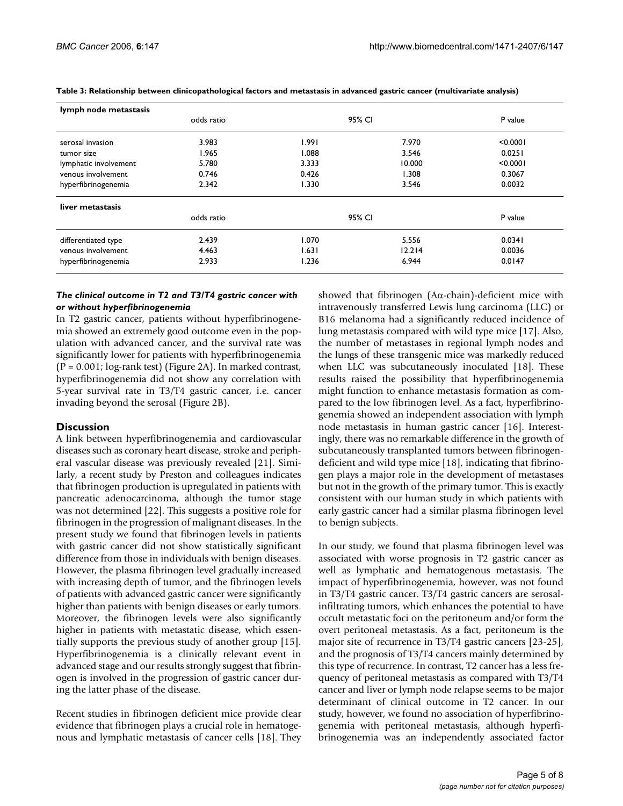| lymph node metastasis |            |        |        |          |  |
|-----------------------|------------|--------|--------|----------|--|
|                       | odds ratio |        | 95% CI |          |  |
| serosal invasion      | 3.983      | 1.991  | 7.970  | < 0.0001 |  |
| tumor size            | 1.965      | 0.088  | 3.546  | 0.0251   |  |
| lymphatic involvement | 5.780      | 3.333  | 10.000 | < 0.0001 |  |
| venous involvement    | 0.746      | 0.426  | 1.308  | 0.3067   |  |
| hyperfibrinogenemia   | 2.342      | 1.330  | 3.546  | 0.0032   |  |
| liver metastasis      |            |        |        |          |  |
|                       | odds ratio | 95% CI |        | P value  |  |
| differentiated type   | 2.439      | 1.070  | 5.556  | 0.0341   |  |
| venous involvement    | 4.463      | 1.631  | 12.214 | 0.0036   |  |
| hyperfibrinogenemia   | 2.933      | 1.236  | 6.944  | 0.0147   |  |
|                       |            |        |        |          |  |

**Table 3: Relationship between clinicopathological factors and metastasis in advanced gastric cancer (multivariate analysis)**

#### *The clinical outcome in T2 and T3/T4 gastric cancer with or without hyperfibrinogenemia*

In T2 gastric cancer, patients without hyperfibrinogenemia showed an extremely good outcome even in the population with advanced cancer, and the survival rate was significantly lower for patients with hyperfibrinogenemia (P = 0.001; log-rank test) (Figure 2A). In marked contrast, hyperfibrinogenemia did not show any correlation with 5-year survival rate in T3/T4 gastric cancer, i.e. cancer invading beyond the serosal (Figure 2B).

### **Discussion**

A link between hyperfibrinogenemia and cardiovascular diseases such as coronary heart disease, stroke and peripheral vascular disease was previously revealed [21]. Similarly, a recent study by Preston and colleagues indicates that fibrinogen production is upregulated in patients with pancreatic adenocarcinoma, although the tumor stage was not determined [22]. This suggests a positive role for fibrinogen in the progression of malignant diseases. In the present study we found that fibrinogen levels in patients with gastric cancer did not show statistically significant difference from those in individuals with benign diseases. However, the plasma fibrinogen level gradually increased with increasing depth of tumor, and the fibrinogen levels of patients with advanced gastric cancer were significantly higher than patients with benign diseases or early tumors. Moreover, the fibrinogen levels were also significantly higher in patients with metastatic disease, which essentially supports the previous study of another group [15]. Hyperfibrinogenemia is a clinically relevant event in advanced stage and our results strongly suggest that fibrinogen is involved in the progression of gastric cancer during the latter phase of the disease.

Recent studies in fibrinogen deficient mice provide clear evidence that fibrinogen plays a crucial role in hematogenous and lymphatic metastasis of cancer cells [18]. They showed that fibrinogen (Aα-chain)-deficient mice with intravenously transferred Lewis lung carcinoma (LLC) or B16 melanoma had a significantly reduced incidence of lung metastasis compared with wild type mice [17]. Also, the number of metastases in regional lymph nodes and the lungs of these transgenic mice was markedly reduced when LLC was subcutaneously inoculated [18]. These results raised the possibility that hyperfibrinogenemia might function to enhance metastasis formation as compared to the low fibrinogen level. As a fact, hyperfibrinogenemia showed an independent association with lymph node metastasis in human gastric cancer [16]. Interestingly, there was no remarkable difference in the growth of subcutaneously transplanted tumors between fibrinogendeficient and wild type mice [18], indicating that fibrinogen plays a major role in the development of metastases but not in the growth of the primary tumor. This is exactly consistent with our human study in which patients with early gastric cancer had a similar plasma fibrinogen level to benign subjects.

In our study, we found that plasma fibrinogen level was associated with worse prognosis in T2 gastric cancer as well as lymphatic and hematogenous metastasis. The impact of hyperfibrinogenemia, however, was not found in T3/T4 gastric cancer. T3/T4 gastric cancers are serosalinfiltrating tumors, which enhances the potential to have occult metastatic foci on the peritoneum and/or form the overt peritoneal metastasis. As a fact, peritoneum is the major site of recurrence in T3/T4 gastric cancers [23-25], and the prognosis of T3/T4 cancers mainly determined by this type of recurrence. In contrast, T2 cancer has a less frequency of peritoneal metastasis as compared with T3/T4 cancer and liver or lymph node relapse seems to be major determinant of clinical outcome in T2 cancer. In our study, however, we found no association of hyperfibrinogenemia with peritoneal metastasis, although hyperfibrinogenemia was an independently associated factor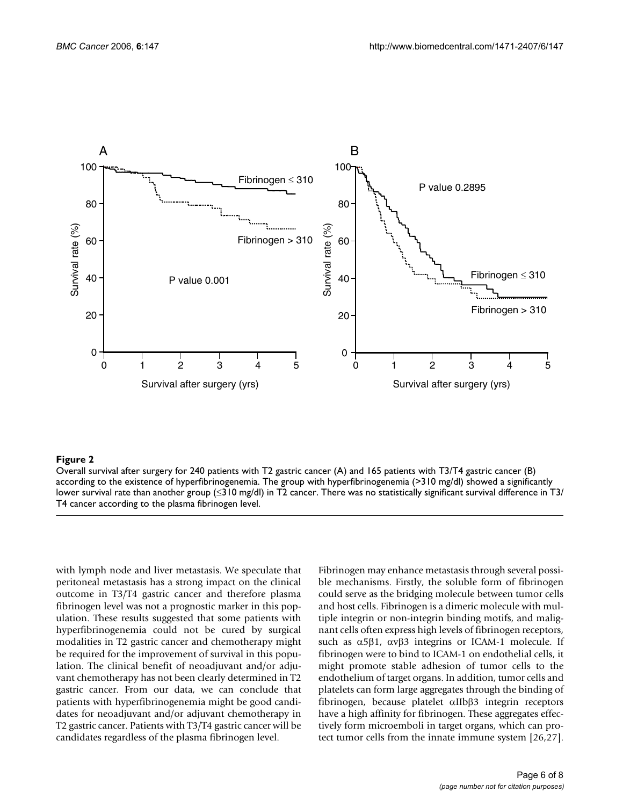

#### Overall survival after surgery for 240 patients with T2 gastri according to the existence of hyperfibrinogenemia **Figure 2** c cancer (A) and 165 patients with T3/T4 gastric cancer (B)

Overall survival after surgery for 240 patients with T2 gastric cancer (A) and 165 patients with T3/T4 gastric cancer (B) according to the existence of hyperfibrinogenemia. The group with hyperfibrinogenemia (>310 mg/dl) showed a significantly lower survival rate than another group ( $\leq$ 310 mg/dl) in T2 cancer. There was no statistically significant survival difference in T3/ T4 cancer according to the plasma fibrinogen level.

with lymph node and liver metastasis. We speculate that peritoneal metastasis has a strong impact on the clinical outcome in T3/T4 gastric cancer and therefore plasma fibrinogen level was not a prognostic marker in this population. These results suggested that some patients with hyperfibrinogenemia could not be cured by surgical modalities in T2 gastric cancer and chemotherapy might be required for the improvement of survival in this population. The clinical benefit of neoadjuvant and/or adjuvant chemotherapy has not been clearly determined in T2 gastric cancer. From our data, we can conclude that patients with hyperfibrinogenemia might be good candidates for neoadjuvant and/or adjuvant chemotherapy in T2 gastric cancer. Patients with T3/T4 gastric cancer will be candidates regardless of the plasma fibrinogen level.

Fibrinogen may enhance metastasis through several possible mechanisms. Firstly, the soluble form of fibrinogen could serve as the bridging molecule between tumor cells and host cells. Fibrinogen is a dimeric molecule with multiple integrin or non-integrin binding motifs, and malignant cells often express high levels of fibrinogen receptors, such as  $α5β1$ ,  $ανβ3$  integrins or ICAM-1 molecule. If fibrinogen were to bind to ICAM-1 on endothelial cells, it might promote stable adhesion of tumor cells to the endothelium of target organs. In addition, tumor cells and platelets can form large aggregates through the binding of fibrinogen, because platelet αIIbβ3 integrin receptors have a high affinity for fibrinogen. These aggregates effectively form microemboli in target organs, which can protect tumor cells from the innate immune system [26,27].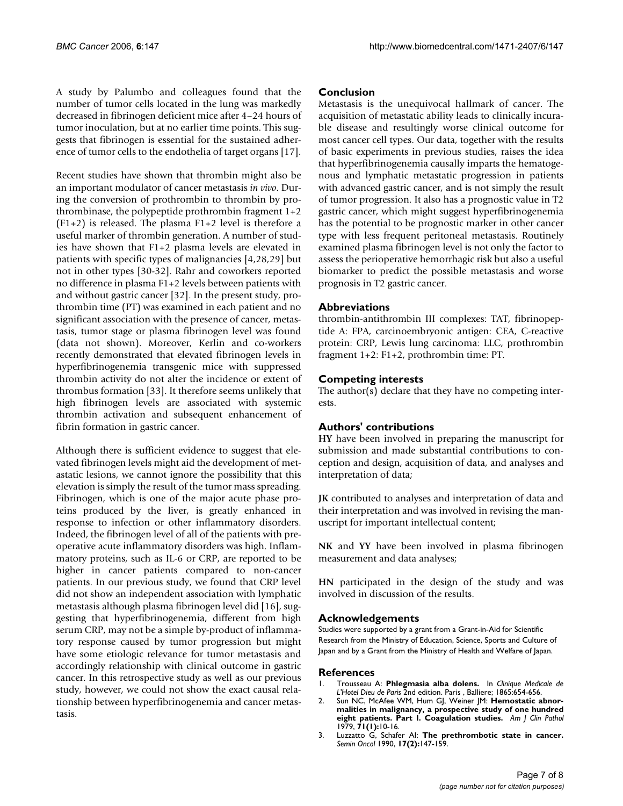A study by Palumbo and colleagues found that the number of tumor cells located in the lung was markedly decreased in fibrinogen deficient mice after 4–24 hours of tumor inoculation, but at no earlier time points. This suggests that fibrinogen is essential for the sustained adherence of tumor cells to the endothelia of target organs [17].

Recent studies have shown that thrombin might also be an important modulator of cancer metastasis *in vivo*. During the conversion of prothrombin to thrombin by prothrombinase, the polypeptide prothrombin fragment 1+2 (F1+2) is released. The plasma F1+2 level is therefore a useful marker of thrombin generation. A number of studies have shown that F1+2 plasma levels are elevated in patients with specific types of malignancies [4,28,29] but not in other types [30-32]. Rahr and coworkers reported no difference in plasma F1+2 levels between patients with and without gastric cancer [32]. In the present study, prothrombin time (PT) was examined in each patient and no significant association with the presence of cancer, metastasis, tumor stage or plasma fibrinogen level was found (data not shown). Moreover, Kerlin and co-workers recently demonstrated that elevated fibrinogen levels in hyperfibrinogenemia transgenic mice with suppressed thrombin activity do not alter the incidence or extent of thrombus formation [33]. It therefore seems unlikely that high fibrinogen levels are associated with systemic thrombin activation and subsequent enhancement of fibrin formation in gastric cancer.

Although there is sufficient evidence to suggest that elevated fibrinogen levels might aid the development of metastatic lesions, we cannot ignore the possibility that this elevation is simply the result of the tumor mass spreading. Fibrinogen, which is one of the major acute phase proteins produced by the liver, is greatly enhanced in response to infection or other inflammatory disorders. Indeed, the fibrinogen level of all of the patients with preoperative acute inflammatory disorders was high. Inflammatory proteins, such as IL-6 or CRP, are reported to be higher in cancer patients compared to non-cancer patients. In our previous study, we found that CRP level did not show an independent association with lymphatic metastasis although plasma fibrinogen level did [16], suggesting that hyperfibrinogenemia, different from high serum CRP, may not be a simple by-product of inflammatory response caused by tumor progression but might have some etiologic relevance for tumor metastasis and accordingly relationship with clinical outcome in gastric cancer. In this retrospective study as well as our previous study, however, we could not show the exact causal relationship between hyperfibrinogenemia and cancer metastasis.

# **Conclusion**

Metastasis is the unequivocal hallmark of cancer. The acquisition of metastatic ability leads to clinically incurable disease and resultingly worse clinical outcome for most cancer cell types. Our data, together with the results of basic experiments in previous studies, raises the idea that hyperfibrinogenemia causally imparts the hematogenous and lymphatic metastatic progression in patients with advanced gastric cancer, and is not simply the result of tumor progression. It also has a prognostic value in T2 gastric cancer, which might suggest hyperfibrinogenemia has the potential to be prognostic marker in other cancer type with less frequent peritoneal metastasis. Routinely examined plasma fibrinogen level is not only the factor to assess the perioperative hemorrhagic risk but also a useful biomarker to predict the possible metastasis and worse prognosis in T2 gastric cancer.

# **Abbreviations**

thrombin-antithrombin III complexes: TAT, fibrinopeptide A: FPA, carcinoembryonic antigen: CEA, C-reactive protein: CRP, Lewis lung carcinoma: LLC, prothrombin fragment 1+2: F1+2, prothrombin time: PT.

# **Competing interests**

The author(s) declare that they have no competing interests.

# **Authors' contributions**

**HY** have been involved in preparing the manuscript for submission and made substantial contributions to conception and design, acquisition of data, and analyses and interpretation of data;

**JK** contributed to analyses and interpretation of data and their interpretation and was involved in revising the manuscript for important intellectual content;

**NK** and **YY** have been involved in plasma fibrinogen measurement and data analyses;

**HN** participated in the design of the study and was involved in discussion of the results.

# **Acknowledgements**

Studies were supported by a grant from a Grant-in-Aid for Scientific Research from the Ministry of Education, Science, Sports and Culture of Japan and by a Grant from the Ministry of Health and Welfare of Japan.

### **References**

- 1. Trousseau A: **Phlegmasia alba dolens.** In *Clinique Medicale de L'Hotel Dieu de Paris* 2nd edition. Paris , Balliere; 1865:654-656.
- 2. Sun NC, McAfee WM, Hum GJ, Weiner JM: **[Hemostatic abnor](http://www.ncbi.nlm.nih.gov/entrez/query.fcgi?cmd=Retrieve&db=PubMed&dopt=Abstract&list_uids=420161)[malities in malignancy, a prospective study of one hundred](http://www.ncbi.nlm.nih.gov/entrez/query.fcgi?cmd=Retrieve&db=PubMed&dopt=Abstract&list_uids=420161) [eight patients. Part I. Coagulation studies.](http://www.ncbi.nlm.nih.gov/entrez/query.fcgi?cmd=Retrieve&db=PubMed&dopt=Abstract&list_uids=420161)** *Am J Clin Pathol* 1979, **71(1):**10-16.
- 3. Luzzatto G, Schafer AI: **[The prethrombotic state in cancer.](http://www.ncbi.nlm.nih.gov/entrez/query.fcgi?cmd=Retrieve&db=PubMed&dopt=Abstract&list_uids=2183357)** *Semin Oncol* 1990, **17(2):**147-159.